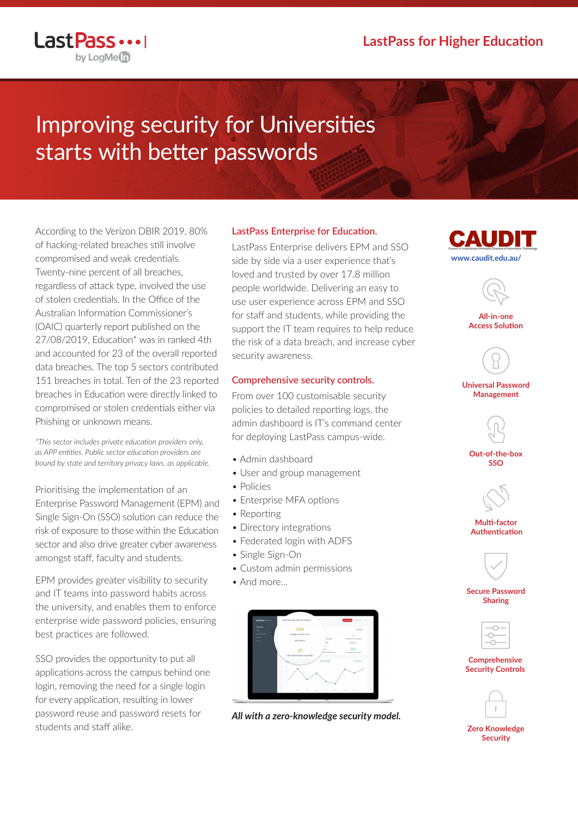

LastPass ...

# Improving security for Universities starts with better passwords

According to the Verizon DBIR 2019, 80% of hacking-related breaches still involve compromised and weak credentials. Twenty-nine percent of all breaches, regardless of attack type, involved the use of stolen credentials. In the Office of the Australian Information Commissioner's (OAIC) quarterly report published on the 27/08/2019, Education\* was in ranked 4th and accounted for 23 of the overall reported data breaches. The top 5 sectors contributed 151 breaches in total. Ten of the 23 reported breaches in Education were directly linked to compromised or stolen credentials either via Phishing or unknown means.

*\*This sector includes private education providers only, as APP entities. Public sector education providers are bound by state and territory privacy laws, as applicable.*

Prioritising the implementation of an Enterprise Password Management (EPM) and Single Sign-On (SSO) solution can reduce the risk of exposure to those within the Education sector and also drive greater cyber awareness amongst staff, faculty and students.

EPM provides greater visibility to security and IT teams into password habits across the university, and enables them to enforce enterprise wide password policies, ensuring best practices are followed.

SSO provides the opportunity to put all applications across the campus behind one login, removing the need for a single login for every application, resulting in lower password reuse and password resets for students and staff alike.

## **LastPass Enterprise for Education.**

LastPass Enterprise delivers EPM and SSO side by side via a user experience that's loved and trusted by over 17.8 million people worldwide. Delivering an easy to use user experience across EPM and SSO for staff and students, while providing the support the IT team requires to help reduce the risk of a data breach, and increase cyber security awareness.

#### **Comprehensive security controls.**

From over 100 customisable security policies to detailed reporting logs, the admin dashboard is IT's command center for deploying LastPass campus-wide.

- Admin dashboard
- User and group management
- Policies
- Enterprise MFA options
- Reporting
- Directory integrations
- Federated login with ADFS
- Single Sign-On
- Custom admin permissions
- And more



*All with a zero-knowledge security model.*





**All-in-one Access Solution**



**Universal Password Management**



**Out-of-the-box SSO**



**Multi-factor Authentication**



**Secure Password Sharing**



#### **Comprehensive Security Controls**



**Zero Knowledge Security**